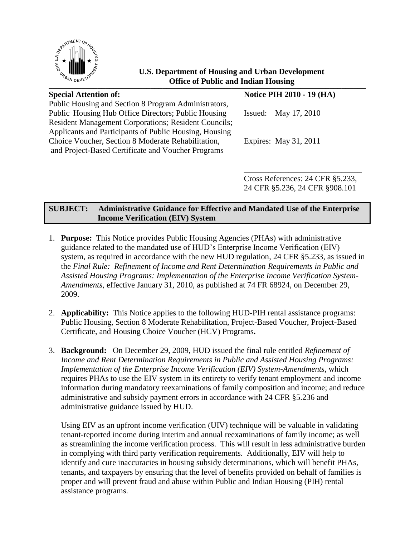

# **Conservation of Public and Indian Housing U.S. Department of Housing and Urban Development**

| <b>Special Attention of:</b>                                                                                          | <b>Notice PIH 2010 - 19 (HA)</b> |
|-----------------------------------------------------------------------------------------------------------------------|----------------------------------|
| Public Housing and Section 8 Program Administrators,<br>Public Housing Hub Office Directors; Public Housing           | Issued: May $17, 2010$           |
| <b>Resident Management Corporations; Resident Councils;</b><br>Applicants and Participants of Public Housing, Housing |                                  |
| Choice Voucher, Section 8 Moderate Rehabilitation,<br>and Project-Based Certificate and Voucher Programs              | Expires: May 31, 2011            |
|                                                                                                                       |                                  |

Cross References: 24 CFR §5.233, 24 CFR §5.236, 24 CFR §908.101

# **SUBJECT: Administrative Guidance for Effective and Mandated Use of the Enterprise Income Verification (EIV) System**

- 1. **Purpose:** This Notice provides Public Housing Agencies (PHAs) with administrative guidance related to the mandated use of HUD's Enterprise Income Verification (EIV) system, as required in accordance with the new HUD regulation, 24 CFR §5.233, as issued in the *Final Rule: Refinement of Income and Rent Determination Requirements in Public and Assisted Housing Programs: Implementation of the Enterprise Income Verification System-Amendments*, effective January 31, 2010, as published at 74 FR 68924, on December 29, 2009.
- 2. **Applicability:** This Notice applies to the following HUD-PIH rental assistance programs: Public Housing, Section 8 Moderate Rehabilitation, Project-Based Voucher, Project-Based Certificate, and Housing Choice Voucher (HCV) Programs**.**
- 3. **Background:** On December 29, 2009, HUD issued the final rule entitled *Refinement of Income and Rent Determination Requirements in Public and Assisted Housing Programs: Implementation of the Enterprise Income Verification (EIV) System-Amendments*, which requires PHAs to use the EIV system in its entirety to verify tenant employment and income information during mandatory reexaminations of family composition and income; and reduce administrative and subsidy payment errors in accordance with 24 CFR §5.236 and administrative guidance issued by HUD.

Using EIV as an upfront income verification (UIV) technique will be valuable in validating tenant-reported income during interim and annual reexaminations of family income; as well as streamlining the income verification process. This will result in less administrative burden in complying with third party verification requirements. Additionally, EIV will help to identify and cure inaccuracies in housing subsidy determinations, which will benefit PHAs, tenants, and taxpayers by ensuring that the level of benefits provided on behalf of families is proper and will prevent fraud and abuse within Public and Indian Housing (PIH) rental assistance programs.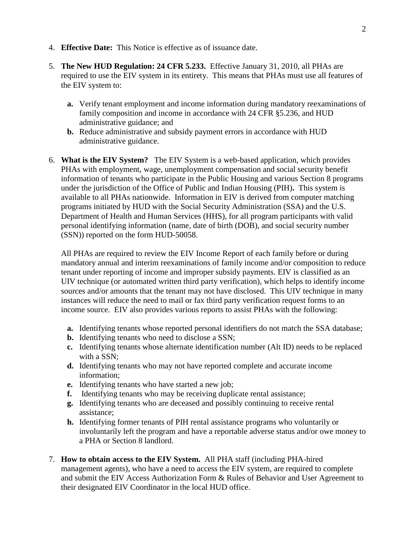- 4. **Effective Date:** This Notice is effective as of issuance date.
- 5. **The New HUD Regulation: 24 CFR 5.233.** Effective January 31, 2010, all PHAs are required to use the EIV system in its entirety. This means that PHAs must use all features of the EIV system to:
	- **a.** Verify tenant employment and income information during mandatory reexaminations of family composition and income in accordance with 24 CFR §5.236, and HUD administrative guidance; and
	- **b.** Reduce administrative and subsidy payment errors in accordance with HUD administrative guidance.
- 6. **What is the EIV System?** The EIV System is a web-based application, which provides PHAs with employment, wage, unemployment compensation and social security benefit information of tenants who participate in the Public Housing and various Section 8 programs under the jurisdiction of the Office of Public and Indian Housing (PIH)**.** This system is available to all PHAs nationwide. Information in EIV is derived from computer matching programs initiated by HUD with the Social Security Administration (SSA) and the U.S. Department of Health and Human Services (HHS), for all program participants with valid personal identifying information (name, date of birth (DOB), and social security number (SSN)) reported on the form HUD-50058.

All PHAs are required to review the EIV Income Report of each family before or during mandatory annual and interim reexaminations of family income and/or composition to reduce tenant under reporting of income and improper subsidy payments. EIV is classified as an UIV technique (or automated written third party verification), which helps to identify income sources and/or amounts that the tenant may not have disclosed. This UIV technique in many instances will reduce the need to mail or fax third party verification request forms to an income source. EIV also provides various reports to assist PHAs with the following:

- **a.** Identifying tenants whose reported personal identifiers do not match the SSA database;
- **b.** Identifying tenants who need to disclose a SSN;
- **c.** Identifying tenants whose alternate identification number (Alt ID) needs to be replaced with a SSN;
- **d.** Identifying tenants who may not have reported complete and accurate income information;
- **e.** Identifying tenants who have started a new job;
- **f.** Identifying tenants who may be receiving duplicate rental assistance;
- **g.** Identifying tenants who are deceased and possibly continuing to receive rental assistance;
- **h.** Identifying former tenants of PIH rental assistance programs who voluntarily or involuntarily left the program and have a reportable adverse status and/or owe money to a PHA or Section 8 landlord.
- 7. **How to obtain access to the EIV System.** All PHA staff (including PHA-hired management agents), who have a need to access the EIV system, are required to complete and submit the EIV Access Authorization Form & Rules of Behavior and User Agreement to their designated EIV Coordinator in the local HUD office.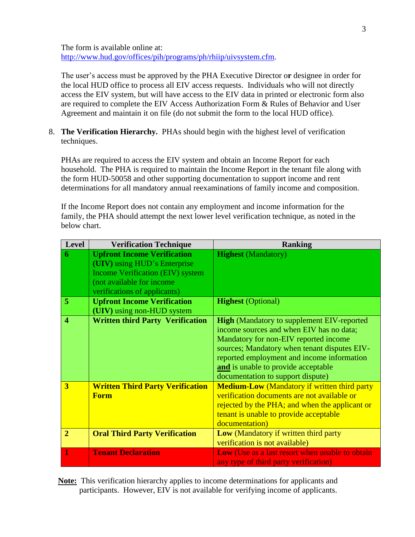The form is available online at: [http://www.hud.gov/offices/pih/programs/ph/rhiip/uivsystem.cfm.](http://www.hud.gov/offices/pih/programs/ph/rhiip/uivsystem.cfm)

The user's access must be approved by the PHA Executive Director o**r** designee in order for the local HUD office to process all EIV access requests. Individuals who will not directly access the EIV system, but will have access to the EIV data in printed or electronic form also are required to complete the EIV Access Authorization Form & Rules of Behavior and User Agreement and maintain it on file (do not submit the form to the local HUD office).

8. **The Verification Hierarchy.** PHAs should begin with the highest level of verification techniques.

PHAs are required to access the EIV system and obtain an Income Report for each household. The PHA is required to maintain the Income Report in the tenant file along with the form HUD-50058 and other supporting documentation to support income and rent determinations for all mandatory annual reexaminations of family income and composition.

If the Income Report does not contain any employment and income information for the family, the PHA should attempt the next lower level verification technique, as noted in the below chart.

| <b>Level</b>            | <b>Verification Technique</b>                                                                                                                                              | <b>Ranking</b>                                                                                                                                                                                                                                                                                                   |
|-------------------------|----------------------------------------------------------------------------------------------------------------------------------------------------------------------------|------------------------------------------------------------------------------------------------------------------------------------------------------------------------------------------------------------------------------------------------------------------------------------------------------------------|
| 6                       | <b>Upfront Income Verification</b><br>(UIV) using HUD's Enterprise<br><b>Income Verification (EIV) system</b><br>(not available for income<br>verifications of applicants) | <b>Highest</b> (Mandatory)                                                                                                                                                                                                                                                                                       |
| $\overline{5}$          | <b>Upfront Income Verification</b><br>(UIV) using non-HUD system                                                                                                           | <b>Highest</b> (Optional)                                                                                                                                                                                                                                                                                        |
| $\overline{\mathbf{4}}$ | <b>Written third Party Verification</b>                                                                                                                                    | <b>High</b> (Mandatory to supplement EIV-reported<br>income sources and when EIV has no data;<br>Mandatory for non-EIV reported income<br>sources; Mandatory when tenant disputes EIV-<br>reported employment and income information<br>and is unable to provide acceptable<br>documentation to support dispute) |
| 3                       | <b>Written Third Party Verification</b><br><b>Form</b>                                                                                                                     | <b>Medium-Low</b> (Mandatory if written third party<br>verification documents are not available or<br>rejected by the PHA; and when the applicant or<br>tenant is unable to provide acceptable<br>documentation)                                                                                                 |
| $\overline{2}$          | <b>Oral Third Party Verification</b>                                                                                                                                       | Low (Mandatory if written third party<br>verification is not available)                                                                                                                                                                                                                                          |
| 1                       | <b>Tenant Declaration</b>                                                                                                                                                  | Low (Use as a last resort when unable to obtain<br>any type of third party verification)                                                                                                                                                                                                                         |

**Note:** This verification hierarchy applies to income determinations for applicants and participants. However, EIV is not available for verifying income of applicants.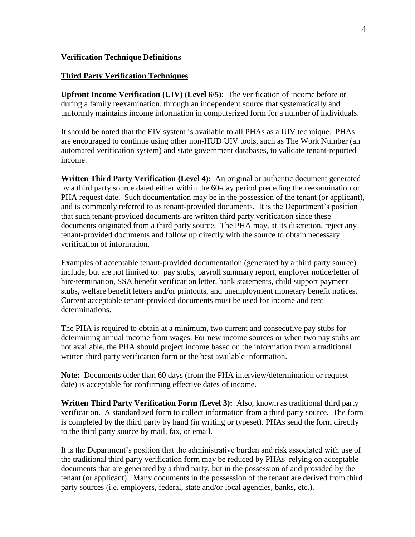#### **Verification Technique Definitions**

#### **Third Party Verification Techniques**

**Upfront Income Verification (UIV) (Level 6/5)**: The verification of income before or during a family reexamination, through an independent source that systematically and uniformly maintains income information in computerized form for a number of individuals.

It should be noted that the EIV system is available to all PHAs as a UIV technique. PHAs are encouraged to continue using other non-HUD UIV tools, such as The Work Number (an automated verification system) and state government databases, to validate tenant-reported income.

**Written Third Party Verification (Level 4):** An original or authentic document generated by a third party source dated either within the 60-day period preceding the reexamination or PHA request date. Such documentation may be in the possession of the tenant (or applicant), and is commonly referred to as tenant-provided documents. It is the Department's position that such tenant-provided documents are written third party verification since these documents originated from a third party source. The PHA may, at its discretion, reject any tenant-provided documents and follow up directly with the source to obtain necessary verification of information.

Examples of acceptable tenant-provided documentation (generated by a third party source) include, but are not limited to: pay stubs, payroll summary report, employer notice/letter of hire/termination, SSA benefit verification letter, bank statements, child support payment stubs, welfare benefit letters and/or printouts, and unemployment monetary benefit notices. Current acceptable tenant-provided documents must be used for income and rent determinations.

The PHA is required to obtain at a minimum, two current and consecutive pay stubs for determining annual income from wages. For new income sources or when two pay stubs are not available, the PHA should project income based on the information from a traditional written third party verification form or the best available information.

**Note:** Documents older than 60 days (from the PHA interview/determination or request date) is acceptable for confirming effective dates of income.

**Written Third Party Verification Form (Level 3):** Also, known as traditional third party verification. A standardized form to collect information from a third party source. The form is completed by the third party by hand (in writing or typeset). PHAs send the form directly to the third party source by mail, fax, or email.

It is the Department's position that the administrative burden and risk associated with use of the traditional third party verification form may be reduced by PHAs relying on acceptable documents that are generated by a third party, but in the possession of and provided by the tenant (or applicant). Many documents in the possession of the tenant are derived from third party sources (i.e. employers, federal, state and/or local agencies, banks, etc.).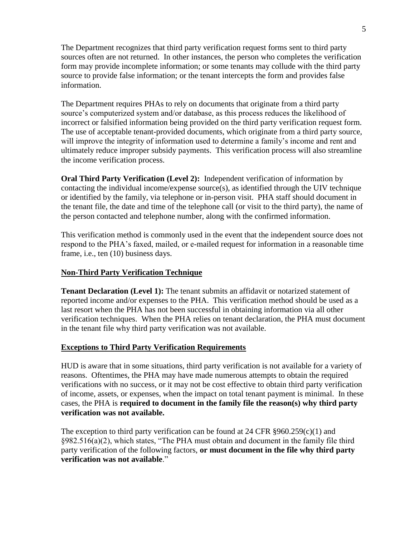The Department recognizes that third party verification request forms sent to third party sources often are not returned. In other instances, the person who completes the verification form may provide incomplete information; or some tenants may collude with the third party source to provide false information; or the tenant intercepts the form and provides false information.

The Department requires PHAs to rely on documents that originate from a third party source's computerized system and/or database, as this process reduces the likelihood of incorrect or falsified information being provided on the third party verification request form. The use of acceptable tenant-provided documents, which originate from a third party source, will improve the integrity of information used to determine a family's income and rent and ultimately reduce improper subsidy payments. This verification process will also streamline the income verification process.

**Oral Third Party Verification (Level 2):** Independent verification of information by contacting the individual income/expense source(s), as identified through the UIV technique or identified by the family, via telephone or in-person visit. PHA staff should document in the tenant file, the date and time of the telephone call (or visit to the third party), the name of the person contacted and telephone number, along with the confirmed information.

This verification method is commonly used in the event that the independent source does not respond to the PHA's faxed, mailed, or e-mailed request for information in a reasonable time frame, i.e., ten (10) business days.

## **Non-Third Party Verification Technique**

**Tenant Declaration (Level 1):** The tenant submits an affidavit or notarized statement of reported income and/or expenses to the PHA. This verification method should be used as a last resort when the PHA has not been successful in obtaining information via all other verification techniques. When the PHA relies on tenant declaration, the PHA must document in the tenant file why third party verification was not available.

#### **Exceptions to Third Party Verification Requirements**

HUD is aware that in some situations, third party verification is not available for a variety of reasons. Oftentimes, the PHA may have made numerous attempts to obtain the required verifications with no success, or it may not be cost effective to obtain third party verification of income, assets, or expenses, when the impact on total tenant payment is minimal. In these cases, the PHA is **required to document in the family file the reason(s) why third party verification was not available.**

The exception to third party verification can be found at  $24 \text{ CFR } \text{\textless{}}960.259(c)(1)$  and §982.516(a)(2), which states, "The PHA must obtain and document in the family file third party verification of the following factors, **or must document in the file why third party verification was not available**."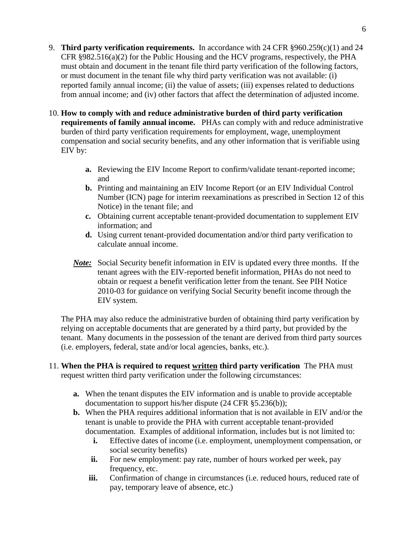- 9. **Third party verification requirements.** In accordance with 24 CFR §960.259(c)(1) and 24 CFR  $\S 982.516(a)(2)$  for the Public Housing and the HCV programs, respectively, the PHA must obtain and document in the tenant file third party verification of the following factors, or must document in the tenant file why third party verification was not available: (i) reported family annual income; (ii) the value of assets; (iii) expenses related to deductions from annual income; and (iv) other factors that affect the determination of adjusted income.
- 10. **How to comply with and reduce administrative burden of third party verification requirements of family annual income.** PHAs can comply with and reduce administrative burden of third party verification requirements for employment, wage, unemployment compensation and social security benefits, and any other information that is verifiable using EIV by:
	- **a.** Reviewing the EIV Income Report to confirm/validate tenant-reported income; and
	- **b.** Printing and maintaining an EIV Income Report (or an EIV Individual Control Number (ICN) page for interim reexaminations as prescribed in Section 12 of this Notice) in the tenant file; and
	- **c.** Obtaining current acceptable tenant-provided documentation to supplement EIV information; and
	- **d.** Using current tenant-provided documentation and/or third party verification to calculate annual income.
	- *Note:* Social Security benefit information in EIV is updated every three months. If the tenant agrees with the EIV-reported benefit information, PHAs do not need to obtain or request a benefit verification letter from the tenant. See PIH Notice 2010-03 for guidance on verifying Social Security benefit income through the EIV system.

The PHA may also reduce the administrative burden of obtaining third party verification by relying on acceptable documents that are generated by a third party, but provided by the tenant. Many documents in the possession of the tenant are derived from third party sources (i.e. employers, federal, state and/or local agencies, banks, etc.).

- 11. **When the PHA is required to request written third party verification** The PHA must request written third party verification under the following circumstances:
	- **a.** When the tenant disputes the EIV information and is unable to provide acceptable documentation to support his/her dispute (24 CFR §5.236(b));
	- **b.** When the PHA requires additional information that is not available in EIV and/or the tenant is unable to provide the PHA with current acceptable tenant-provided documentation. Examples of additional information, includes but is not limited to:
		- **i.** Effective dates of income (i.e. employment, unemployment compensation, or social security benefits)
		- **ii.** For new employment: pay rate, number of hours worked per week, pay frequency, etc.
		- iii. Confirmation of change in circumstances (i.e. reduced hours, reduced rate of pay, temporary leave of absence, etc.)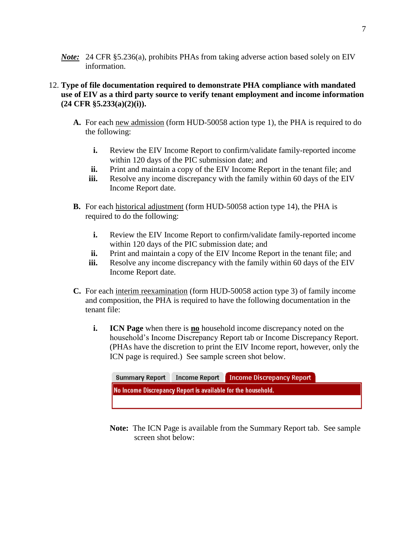*Note*: 24 CFR §5.236(a), prohibits PHAs from taking adverse action based solely on EIV information.

## 12. **Type of file documentation required to demonstrate PHA compliance with mandated use of EIV as a third party source to verify tenant employment and income information (24 CFR §5.233(a)(2)(i)).**

- **A.** For each new admission (form HUD-50058 action type 1), the PHA is required to do the following:
	- **i.** Review the EIV Income Report to confirm/validate family-reported income within 120 days of the PIC submission date; and
	- **ii.** Print and maintain a copy of the EIV Income Report in the tenant file; and
	- **iii.** Resolve any income discrepancy with the family within 60 days of the EIV Income Report date.
- **B.** For each historical adjustment (form HUD-50058 action type 14), the PHA is required to do the following:
	- **i.** Review the EIV Income Report to confirm/validate family-reported income within 120 days of the PIC submission date; and
	- **ii.** Print and maintain a copy of the EIV Income Report in the tenant file; and
	- **iii.** Resolve any income discrepancy with the family within 60 days of the EIV Income Report date.
- **C.** For each interim reexamination (form HUD-50058 action type 3) of family income and composition, the PHA is required to have the following documentation in the tenant file:
	- **i. ICN Page** when there is **no** household income discrepancy noted on the household's Income Discrepancy Report tab or Income Discrepancy Report. (PHAs have the discretion to print the EIV Income report, however, only the ICN page is required.) See sample screen shot below.



**Note:** The ICN Page is available from the Summary Report tab. See sample screen shot below: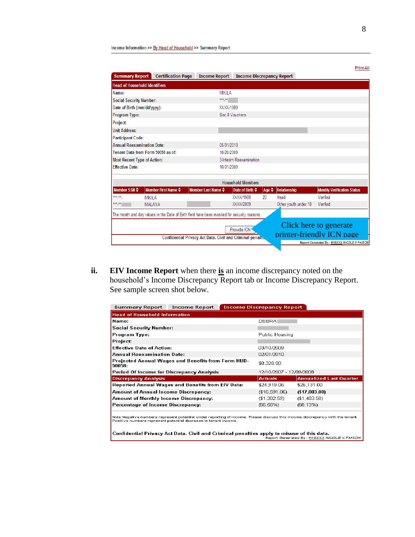| <b>Summary Report</b>          | <b>Certification Page</b>                                                                  | <b>Income Report</b>                                       | <b>Income Discrepancy Report</b> |    |                                    |                                                                                                     |
|--------------------------------|--------------------------------------------------------------------------------------------|------------------------------------------------------------|----------------------------------|----|------------------------------------|-----------------------------------------------------------------------------------------------------|
|                                | <b>Head of Household Identifiers</b>                                                       |                                                            |                                  |    |                                    |                                                                                                     |
| Mame:                          |                                                                                            | <b>MIKILA</b>                                              |                                  |    |                                    |                                                                                                     |
| <b>Social Security Number:</b> |                                                                                            | $***$ $**$                                                 |                                  |    |                                    |                                                                                                     |
| Date of Birth (mm/dd/yyyy):    |                                                                                            | XX/XX/1989                                                 |                                  |    |                                    |                                                                                                     |
| Program Type:                  |                                                                                            | Sec. 8 Vouchers                                            |                                  |    |                                    |                                                                                                     |
| Project:                       |                                                                                            |                                                            |                                  |    |                                    |                                                                                                     |
| <b>Unit Address:</b>           |                                                                                            |                                                            |                                  |    |                                    |                                                                                                     |
| <b>Participant Code:</b>       |                                                                                            |                                                            |                                  |    |                                    |                                                                                                     |
|                                | <b>Annual Reexamination Date:</b><br>05/01/2010                                            |                                                            |                                  |    |                                    |                                                                                                     |
|                                | Tenant Data from Form 50058 as of:<br>10/20/2009                                           |                                                            |                                  |    |                                    |                                                                                                     |
|                                | <b>Most Recent Type of Action:</b><br>3-Interim Reexamination                              |                                                            |                                  |    |                                    |                                                                                                     |
| <b>Fffective Date:</b>         |                                                                                            | 10/01/2009                                                 |                                  |    |                                    |                                                                                                     |
|                                |                                                                                            |                                                            | <b>Household Members</b>         |    |                                    |                                                                                                     |
| Member $SSN \triangleq$        | Member First Name $\div$                                                                   | Member Last Name $\triangleq$                              | Date of Birth $\triangleq$       |    | Age $\Leftrightarrow$ Relationship | <b>Identity Verification Status</b>                                                                 |
| ***_**_                        | <b>MIKILA</b>                                                                              |                                                            | XX/XX/1989                       | 20 | Head                               | Verified                                                                                            |
| *** **                         | <b>MALAYA</b>                                                                              |                                                            | XX/XX/2009                       |    | Other youth under 18               | Verified                                                                                            |
|                                | The month and day values in the Date of Birth field have been masked for security reasons. |                                                            |                                  |    |                                    |                                                                                                     |
|                                |                                                                                            | Confidential Privacy Act Data. Civil and Criminal penaltic | Provide ICN                      |    |                                    | Click here to generate<br>printer-friendly ICN page<br>Report Generated By - H18XXX NICOLE X FAISON |

**ii. EIV Income Report** when there **is** an income discrepancy noted on the household's Income Discrepancy Report tab or Income Discrepancy Report. See sample screen shot below.

| Summary Report<br><b>Income Report</b>                                                                                                                                                          | <b>Income Discrepancy Report</b> |                                |
|-------------------------------------------------------------------------------------------------------------------------------------------------------------------------------------------------|----------------------------------|--------------------------------|
| <b>Head of Household Information</b>                                                                                                                                                            |                                  |                                |
| Name:                                                                                                                                                                                           | <b>DEBRA</b>                     |                                |
| <b>Social Security Number:</b>                                                                                                                                                                  |                                  |                                |
| Program Type:                                                                                                                                                                                   | Public Housing                   |                                |
| Project:                                                                                                                                                                                        |                                  |                                |
| <b>Effective Date of Action:</b>                                                                                                                                                                | 03/10/2009                       |                                |
| <b>Annual Reexamination Date:</b>                                                                                                                                                               | 02/01/2010                       |                                |
| Projected Annual Wages and Benefits from Form HUD-<br>50058:                                                                                                                                    | \$8,328.00                       |                                |
| Period Of Income for Discrepancy Analysis                                                                                                                                                       | 12/10/2007 - 12/09/2008          |                                |
| <b>Discrepancy Analysis</b>                                                                                                                                                                     | <b>Actuals</b>                   | <b>Annualized Last Quarter</b> |
| Reported Annual Wages and Benefits from EIV Data:                                                                                                                                               | \$24,919.06<br>\$26,131.00       |                                |
| <b>Amount of Annual Income Discrepancy:</b>                                                                                                                                                     | $(\$17,803.00)$<br>(\$16,591.06) |                                |
| Amount of Monthly Income Discrepancy:                                                                                                                                                           | (\$1,382.59)<br>(\$1,483.58)     |                                |
| Percentage of Income Discrepancy:                                                                                                                                                               | (66.58%)<br>(68.13%)             |                                |
|                                                                                                                                                                                                 |                                  |                                |
| Note:Negative numbers represent potential under reporting of income. Please discuss this income discrepancy with the tenant.<br>Positive numbers represent potential decrease in tenant income. |                                  |                                |

Confidential Privacy Act Data. Civil and Criminal penalties apply to misuse of this data.<br>Report Generated By · H18XXX NICOLE X FAISON

Print-All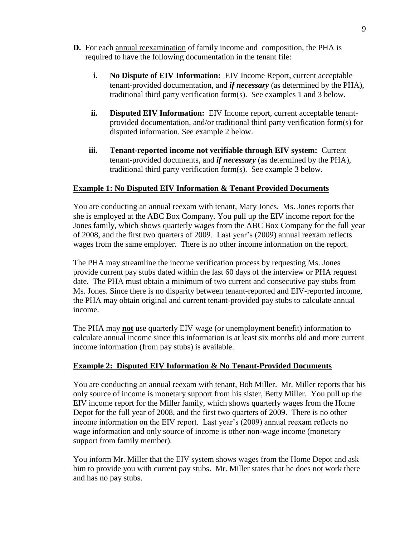- **D.** For each annual reexamination of family income and composition, the PHA is required to have the following documentation in the tenant file:
	- **i. No Dispute of EIV Information:** EIV Income Report, current acceptable tenant-provided documentation, and *if necessary* (as determined by the PHA), traditional third party verification form(s). See examples 1 and 3 below.
	- **ii. Disputed EIV Information:** EIV Income report, current acceptable tenantprovided documentation, and/or traditional third party verification form(s) for disputed information. See example 2 below.
	- **iii. Tenant-reported income not verifiable through EIV system:** Current tenant-provided documents, and *if necessary* (as determined by the PHA), traditional third party verification form(s). See example 3 below.

## **Example 1: No Disputed EIV Information & Tenant Provided Documents**

You are conducting an annual reexam with tenant, Mary Jones. Ms. Jones reports that she is employed at the ABC Box Company. You pull up the EIV income report for the Jones family, which shows quarterly wages from the ABC Box Company for the full year of 2008, and the first two quarters of 2009. Last year's (2009) annual reexam reflects wages from the same employer. There is no other income information on the report.

The PHA may streamline the income verification process by requesting Ms. Jones provide current pay stubs dated within the last 60 days of the interview or PHA request date. The PHA must obtain a minimum of two current and consecutive pay stubs from Ms. Jones. Since there is no disparity between tenant-reported and EIV-reported income, the PHA may obtain original and current tenant-provided pay stubs to calculate annual income.

The PHA may **not** use quarterly EIV wage (or unemployment benefit) information to calculate annual income since this information is at least six months old and more current income information (from pay stubs) is available.

## **Example 2: Disputed EIV Information & No Tenant-Provided Documents**

You are conducting an annual reexam with tenant, Bob Miller. Mr. Miller reports that his only source of income is monetary support from his sister, Betty Miller. You pull up the EIV income report for the Miller family, which shows quarterly wages from the Home Depot for the full year of 2008, and the first two quarters of 2009. There is no other income information on the EIV report. Last year's (2009) annual reexam reflects no wage information and only source of income is other non-wage income (monetary support from family member).

You inform Mr. Miller that the EIV system shows wages from the Home Depot and ask him to provide you with current pay stubs. Mr. Miller states that he does not work there and has no pay stubs.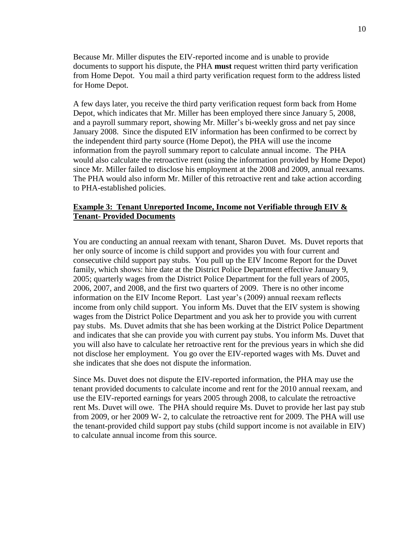Because Mr. Miller disputes the EIV-reported income and is unable to provide documents to support his dispute, the PHA **must** request written third party verification from Home Depot. You mail a third party verification request form to the address listed for Home Depot.

A few days later, you receive the third party verification request form back from Home Depot, which indicates that Mr. Miller has been employed there since January 5, 2008, and a payroll summary report, showing Mr. Miller's bi-weekly gross and net pay since January 2008. Since the disputed EIV information has been confirmed to be correct by the independent third party source (Home Depot), the PHA will use the income information from the payroll summary report to calculate annual income. The PHA would also calculate the retroactive rent (using the information provided by Home Depot) since Mr. Miller failed to disclose his employment at the 2008 and 2009, annual reexams. The PHA would also inform Mr. Miller of this retroactive rent and take action according to PHA-established policies.

#### **Example 3: Tenant Unreported Income, Income not Verifiable through EIV & Tenant- Provided Documents**

You are conducting an annual reexam with tenant, Sharon Duvet. Ms. Duvet reports that her only source of income is child support and provides you with four current and consecutive child support pay stubs. You pull up the EIV Income Report for the Duvet family, which shows: hire date at the District Police Department effective January 9, 2005; quarterly wages from the District Police Department for the full years of 2005, 2006, 2007, and 2008, and the first two quarters of 2009. There is no other income information on the EIV Income Report. Last year's (2009) annual reexam reflects income from only child support.You inform Ms. Duvet that the EIV system is showing wages from the District Police Department and you ask her to provide you with current pay stubs. Ms. Duvet admits that she has been working at the District Police Department and indicates that she can provide you with current pay stubs. You inform Ms. Duvet that you will also have to calculate her retroactive rent for the previous years in which she did not disclose her employment. You go over the EIV-reported wages with Ms. Duvet and she indicates that she does not dispute the information.

Since Ms. Duvet does not dispute the EIV-reported information, the PHA may use the tenant provided documents to calculate income and rent for the 2010 annual reexam, and use the EIV-reported earnings for years 2005 through 2008, to calculate the retroactive rent Ms. Duvet will owe. The PHA should require Ms. Duvet to provide her last pay stub from 2009, or her 2009 W- 2, to calculate the retroactive rent for 2009. The PHA will use the tenant-provided child support pay stubs (child support income is not available in EIV) to calculate annual income from this source.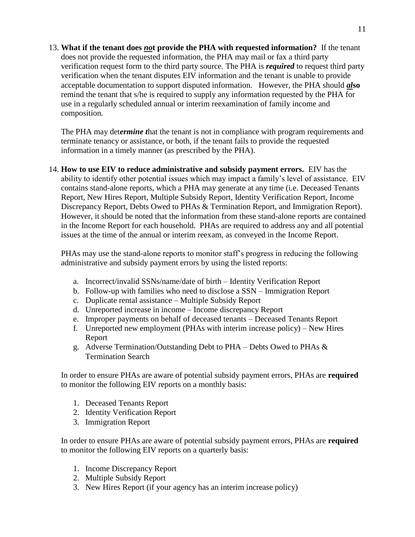13. **What if the tenant does** *no***t provide the PHA with requested information?** If the tenant does not provide the requested information, the PHA may mail or fax a third party verification request form to the third party source. The PHA is *required* to request third party verification when the tenant disputes EIV information and the tenant is unable to provide acceptable documentation to support disputed information. However, the PHA should *al***so**  remind the tenant that s/he is required to supply any information requested by the PHA for use in a regularly scheduled annual or interim reexamination of family income and composition.

The PHA may det*ermine t*hat the tenant is not in compliance with program requirements and terminate tenancy or assistance, or both, if the tenant fails to provide the requested information in a timely manner (as prescribed by the PHA).

14. **How to use EIV to reduce administrative and subsidy payment errors.** EIV has the ability to identify other potential issues which may impact a family's level of assistance. EIV contains stand-alone reports, which a PHA may generate at any time (i.e. Deceased Tenants Report, New Hires Report, Multiple Subsidy Report, Identity Verification Report, Income Discrepancy Report, Debts Owed to PHAs & Termination Report, and Immigration Report). However, it should be noted that the information from these stand-alone reports are contained in the Income Report for each household. PHAs are required to address any and all potential issues at the time of the annual or interim reexam, as conveyed in the Income Report.

PHAs may use the stand-alone reports to monitor staff's progress in reducing the following administrative and subsidy payment errors by using the listed reports:

- a. Incorrect/invalid SSNs/name/date of birth Identity Verification Report
- b. Follow-up with families who need to disclose a SSN Immigration Report
- c. Duplicate rental assistance Multiple Subsidy Report
- d. Unreported increase in income Income discrepancy Report
- e. Improper payments on behalf of deceased tenants Deceased Tenants Report
- f. Unreported new employment (PHAs with interim increase policy) New Hires Report
- g. Adverse Termination/Outstanding Debt to  $PHA$  Debts Owed to PHAs & Termination Search

In order to ensure PHAs are aware of potential subsidy payment errors, PHAs are **required** to monitor the following EIV reports on a monthly basis:

- 1. Deceased Tenants Report
- 2. Identity Verification Report
- 3. Immigration Report

In order to ensure PHAs are aware of potential subsidy payment errors, PHAs are **required** to monitor the following EIV reports on a quarterly basis:

- 1. Income Discrepancy Report
- 2. Multiple Subsidy Report
- 3. New Hires Report (if your agency has an interim increase policy)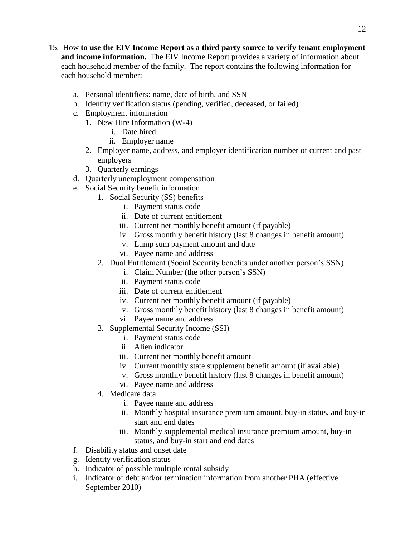- 15. How **to use the EIV Income Report as a third party source to verify tenant employment and income information.** The EIV Income Report provides a variety of information about each household member of the family. The report contains the following information for each household member:
	- a. Personal identifiers: name, date of birth, and SSN
	- b. Identity verification status (pending, verified, deceased, or failed)
	- c. Employment information
		- 1. New Hire Information (W-4)
			- i. Date hired
			- ii. Employer name
		- 2. Employer name, address, and employer identification number of current and past employers
		- 3. Quarterly earnings
	- d. Quarterly unemployment compensation
	- e. Social Security benefit information
		- 1. Social Security (SS) benefits
			- i. Payment status code
			- ii. Date of current entitlement
			- iii. Current net monthly benefit amount (if payable)
			- iv. Gross monthly benefit history (last 8 changes in benefit amount)
			- v. Lump sum payment amount and date
			- vi. Payee name and address
		- 2. Dual Entitlement (Social Security benefits under another person's SSN)
			- i. Claim Number (the other person's SSN)
			- ii. Payment status code
			- iii. Date of current entitlement
			- iv. Current net monthly benefit amount (if payable)
			- v. Gross monthly benefit history (last 8 changes in benefit amount)
			- vi. Payee name and address
		- 3. Supplemental Security Income (SSI)
			- i. Payment status code
			- ii. Alien indicator
			- iii. Current net monthly benefit amount
			- iv. Current monthly state supplement benefit amount (if available)
			- v. Gross monthly benefit history (last 8 changes in benefit amount)
			- vi. Payee name and address
		- 4. Medicare data
			- i. Payee name and address
			- ii. Monthly hospital insurance premium amount, buy-in status, and buy-in start and end dates
			- iii. Monthly supplemental medical insurance premium amount, buy-in status, and buy-in start and end dates
	- f. Disability status and onset date
	- g. Identity verification status
	- h. Indicator of possible multiple rental subsidy
	- i. Indicator of debt and/or termination information from another PHA (effective September 2010)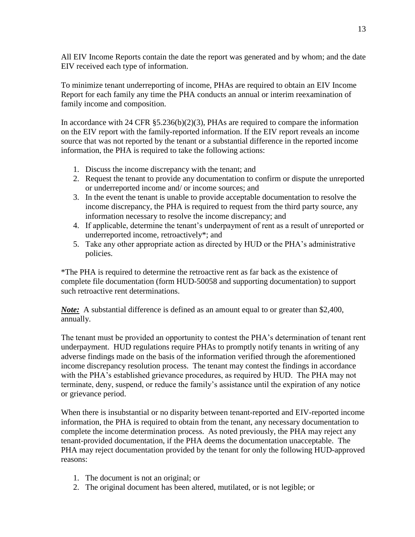All EIV Income Reports contain the date the report was generated and by whom; and the date EIV received each type of information.

To minimize tenant underreporting of income, PHAs are required to obtain an EIV Income Report for each family any time the PHA conducts an annual or interim reexamination of family income and composition.

In accordance with 24 CFR  $\S 5.236(b)(2)(3)$ , PHAs are required to compare the information on the EIV report with the family-reported information. If the EIV report reveals an income source that was not reported by the tenant or a substantial difference in the reported income information, the PHA is required to take the following actions:

- 1. Discuss the income discrepancy with the tenant; and
- 2. Request the tenant to provide any documentation to confirm or dispute the unreported or underreported income and/ or income sources; and
- 3. In the event the tenant is unable to provide acceptable documentation to resolve the income discrepancy, the PHA is required to request from the third party source, any information necessary to resolve the income discrepancy; and
- 4. If applicable, determine the tenant's underpayment of rent as a result of unreported or underreported income, retroactively\*; and
- 5. Take any other appropriate action as directed by HUD or the PHA's administrative policies.

\*The PHA is required to determine the retroactive rent as far back as the existence of complete file documentation (form HUD-50058 and supporting documentation) to support such retroactive rent determinations.

*Note:* A substantial difference is defined as an amount equal to or greater than \$2,400, annually.

The tenant must be provided an opportunity to contest the PHA's determination of tenant rent underpayment. HUD regulations require PHAs to promptly notify tenants in writing of any adverse findings made on the basis of the information verified through the aforementioned income discrepancy resolution process. The tenant may contest the findings in accordance with the PHA's established grievance procedures, as required by HUD. The PHA may not terminate, deny, suspend, or reduce the family's assistance until the expiration of any notice or grievance period.

When there is insubstantial or no disparity between tenant-reported and EIV-reported income information, the PHA is required to obtain from the tenant, any necessary documentation to complete the income determination process. As noted previously, the PHA may reject any tenant-provided documentation, if the PHA deems the documentation unacceptable. The PHA may reject documentation provided by the tenant for only the following HUD-approved reasons:

- 1. The document is not an original; or
- 2. The original document has been altered, mutilated, or is not legible; or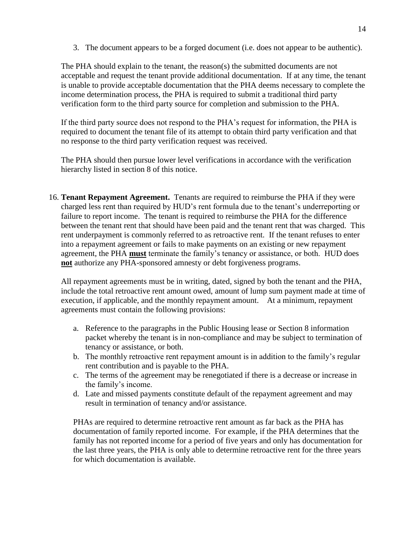3. The document appears to be a forged document (i.e. does not appear to be authentic).

The PHA should explain to the tenant, the reason(s) the submitted documents are not acceptable and request the tenant provide additional documentation. If at any time, the tenant is unable to provide acceptable documentation that the PHA deems necessary to complete the income determination process, the PHA is required to submit a traditional third party verification form to the third party source for completion and submission to the PHA.

If the third party source does not respond to the PHA's request for information, the PHA is required to document the tenant file of its attempt to obtain third party verification and that no response to the third party verification request was received.

The PHA should then pursue lower level verifications in accordance with the verification hierarchy listed in section 8 of this notice.

16. **Tenant Repayment Agreement.** Tenants are required to reimburse the PHA if they were charged less rent than required by HUD's rent formula due to the tenant's underreporting or failure to report income. The tenant is required to reimburse the PHA for the difference between the tenant rent that should have been paid and the tenant rent that was charged. This rent underpayment is commonly referred to as retroactive rent. If the tenant refuses to enter into a repayment agreement or fails to make payments on an existing or new repayment agreement, the PHA **must** terminate the family's tenancy or assistance, or both. HUD does **not** authorize any PHA-sponsored amnesty or debt forgiveness programs.

All repayment agreements must be in writing, dated, signed by both the tenant and the PHA, include the total retroactive rent amount owed, amount of lump sum payment made at time of execution, if applicable, and the monthly repayment amount. At a minimum, repayment agreements must contain the following provisions:

- a. Reference to the paragraphs in the Public Housing lease or Section 8 information packet whereby the tenant is in non-compliance and may be subject to termination of tenancy or assistance, or both.
- b. The monthly retroactive rent repayment amount is in addition to the family's regular rent contribution and is payable to the PHA.
- c. The terms of the agreement may be renegotiated if there is a decrease or increase in the family's income.
- d. Late and missed payments constitute default of the repayment agreement and may result in termination of tenancy and/or assistance.

PHAs are required to determine retroactive rent amount as far back as the PHA has documentation of family reported income. For example, if the PHA determines that the family has not reported income for a period of five years and only has documentation for the last three years, the PHA is only able to determine retroactive rent for the three years for which documentation is available.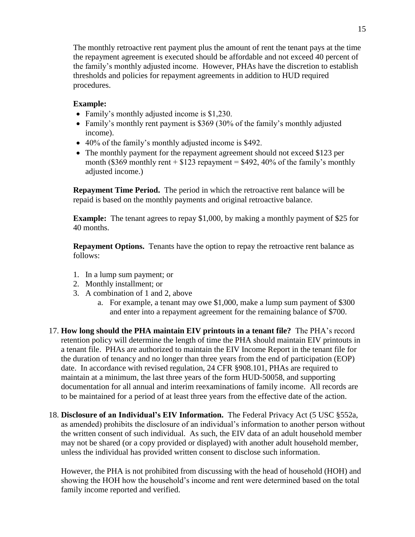The monthly retroactive rent payment plus the amount of rent the tenant pays at the time the repayment agreement is executed should be affordable and not exceed 40 percent of the family's monthly adjusted income. However, PHAs have the discretion to establish thresholds and policies for repayment agreements in addition to HUD required procedures.

## **Example:**

- Family's monthly adjusted income is \$1,230.
- Family's monthly rent payment is \$369 (30% of the family's monthly adjusted income).
- 40% of the family's monthly adjusted income is \$492.
- The monthly payment for the repayment agreement should not exceed \$123 per month (\$369 monthly rent  $+$  \$123 repayment = \$492, 40% of the family's monthly adjusted income.)

**Repayment Time Period.** The period in which the retroactive rent balance will be repaid is based on the monthly payments and original retroactive balance.

**Example:** The tenant agrees to repay \$1,000, by making a monthly payment of \$25 for 40 months.

**Repayment Options.** Tenants have the option to repay the retroactive rent balance as follows:

- 1. In a lump sum payment; or
- 2. Monthly installment; or
- 3. A combination of 1 and 2, above
	- a. For example, a tenant may owe \$1,000, make a lump sum payment of \$300 and enter into a repayment agreement for the remaining balance of \$700.
- 17. **How long should the PHA maintain EIV printouts in a tenant file?** The PHA's record retention policy will determine the length of time the PHA should maintain EIV printouts in a tenant file. PHAs are authorized to maintain the EIV Income Report in the tenant file for the duration of tenancy and no longer than three years from the end of participation (EOP) date. In accordance with revised regulation, 24 CFR §908.101, PHAs are required to maintain at a minimum, the last three years of the form HUD-50058, and supporting documentation for all annual and interim reexaminations of family income. All records are to be maintained for a period of at least three years from the effective date of the action.
- 18. **Disclosure of an Individual's EIV Information.** The Federal Privacy Act (5 USC §552a, as amended) prohibits the disclosure of an individual's information to another person without the written consent of such individual. As such, the EIV data of an adult household member may not be shared (or a copy provided or displayed) with another adult household member, unless the individual has provided written consent to disclose such information.

However, the PHA is not prohibited from discussing with the head of household (HOH) and showing the HOH how the household's income and rent were determined based on the total family income reported and verified.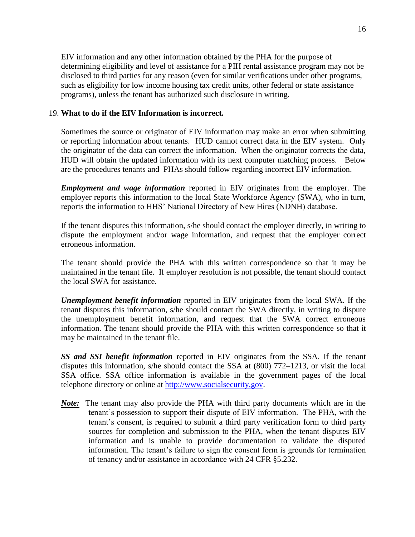EIV information and any other information obtained by the PHA for the purpose of determining eligibility and level of assistance for a PIH rental assistance program may not be disclosed to third parties for any reason (even for similar verifications under other programs, such as eligibility for low income housing tax credit units, other federal or state assistance programs), unless the tenant has authorized such disclosure in writing.

#### 19. **What to do if the EIV Information is incorrect.**

Sometimes the source or originator of EIV information may make an error when submitting or reporting information about tenants. HUD cannot correct data in the EIV system. Only the originator of the data can correct the information. When the originator corrects the data, HUD will obtain the updated information with its next computer matching process. Below are the procedures tenants and PHAs should follow regarding incorrect EIV information.

*Employment and wage information* reported in EIV originates from the employer. The employer reports this information to the local State Workforce Agency (SWA), who in turn, reports the information to HHS' National Directory of New Hires (NDNH) database.

If the tenant disputes this information, s/he should contact the employer directly, in writing to dispute the employment and/or wage information, and request that the employer correct erroneous information.

The tenant should provide the PHA with this written correspondence so that it may be maintained in the tenant file. If employer resolution is not possible, the tenant should contact the local SWA for assistance.

*Unemployment benefit information* reported in EIV originates from the local SWA. If the tenant disputes this information, s/he should contact the SWA directly, in writing to dispute the unemployment benefit information, and request that the SWA correct erroneous information. The tenant should provide the PHA with this written correspondence so that it may be maintained in the tenant file.

*SS and SSI benefit information* reported in EIV originates from the SSA. If the tenant disputes this information, s/he should contact the SSA at (800) 772–1213, or visit the local SSA office. SSA office information is available in the government pages of the local telephone directory or online at [http://www.socialsecurity.gov.](http://www.socialsecurity.gov/)

*Note:* The tenant may also provide the PHA with third party documents which are in the tenant's possession to support their dispute of EIV information. The PHA, with the tenant's consent, is required to submit a third party verification form to third party sources for completion and submission to the PHA, when the tenant disputes EIV information and is unable to provide documentation to validate the disputed information. The tenant's failure to sign the consent form is grounds for termination of tenancy and/or assistance in accordance with 24 CFR §5.232.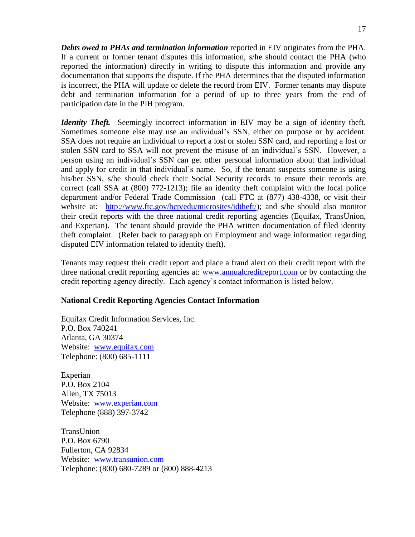*Debts owed to PHAs and termination information* reported in EIV originates from the PHA. If a current or former tenant disputes this information, s/he should contact the PHA (who reported the information) directly in writing to dispute this information and provide any documentation that supports the dispute. If the PHA determines that the disputed information is incorrect, the PHA will update or delete the record from EIV. Former tenants may dispute debt and termination information for a period of up to three years from the end of participation date in the PIH program.

*Identity Theft.* Seemingly incorrect information in EIV may be a sign of identity theft. Sometimes someone else may use an individual's SSN, either on purpose or by accident. SSA does not require an individual to report a lost or stolen SSN card, and reporting a lost or stolen SSN card to SSA will not prevent the misuse of an individual's SSN. However, a person using an individual's SSN can get other personal information about that individual and apply for credit in that individual's name. So, if the tenant suspects someone is using his/her SSN, s/he should check their Social Security records to ensure their records are correct (call SSA at (800) 772-1213); file an identity theft complaint with the local police department and/or Federal Trade Commission (call FTC at (877) 438-4338, or visit their website at: [http://www.ftc.gov/bcp/edu/microsites/idtheft/\)](http://www.ftc.gov/bcp/edu/microsites/idtheft/); and s/he should also monitor their credit reports with the three national credit reporting agencies (Equifax, TransUnion, and Experian). The tenant should provide the PHA written documentation of filed identity theft complaint. (Refer back to paragraph on Employment and wage information regarding disputed EIV information related to identity theft).

Tenants may request their credit report and place a fraud alert on their credit report with the three national credit reporting agencies at: [www.annualcreditreport.com](http://www.annualcreditreport.com/) or by contacting the credit reporting agency directly. Each agency's contact information is listed below.

#### **National Credit Reporting Agencies Contact Information**

Equifax Credit Information Services, Inc. P.O. Box 740241 Atlanta, GA 30374 Website: [www.equifax.com](http://www.equifax.com/) Telephone: (800) 685-1111

Experian P.O. Box 2104 Allen, TX 75013 Website: [www.experian.com](http://www.experian.com/) Telephone (888) 397-3742

TransUnion P.O. Box 6790 Fullerton, CA 92834 Website: [www.transunion.com](http://www.transunion.com/) Telephone: (800) 680-7289 or (800) 888-4213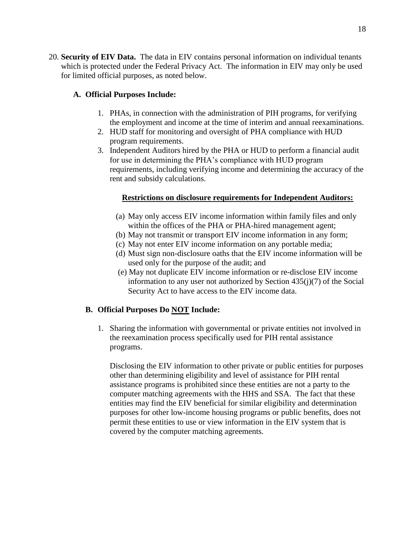18

20. **Security of EIV Data.** The data in EIV contains personal information on individual tenants which is protected under the Federal Privacy Act. The information in EIV may only be used for limited official purposes, as noted below.

## **A. Official Purposes Include:**

- 1. PHAs, in connection with the administration of PIH programs, for verifying the employment and income at the time of interim and annual reexaminations.
- 2. HUD staff for monitoring and oversight of PHA compliance with HUD program requirements.
- 3. Independent Auditors hired by the PHA or HUD to perform a financial audit for use in determining the PHA's compliance with HUD program requirements, including verifying income and determining the accuracy of the rent and subsidy calculations.

## **Restrictions on disclosure requirements for Independent Auditors:**

- (a) May only access EIV income information within family files and only within the offices of the PHA or PHA-hired management agent;
- (b) May not transmit or transport EIV income information in any form;
- (c) May not enter EIV income information on any portable media;
- (d) Must sign non-disclosure oaths that the EIV income information will be used only for the purpose of the audit; and
- (e) May not duplicate EIV income information or re-disclose EIV income information to any user not authorized by Section 435(j)(7) of the Social Security Act to have access to the EIV income data.

## **B. Official Purposes Do NOT Include:**

1. Sharing the information with governmental or private entities not involved in the reexamination process specifically used for PIH rental assistance programs.

Disclosing the EIV information to other private or public entities for purposes other than determining eligibility and level of assistance for PIH rental assistance programs is prohibited since these entities are not a party to the computer matching agreements with the HHS and SSA. The fact that these entities may find the EIV beneficial for similar eligibility and determination purposes for other low-income housing programs or public benefits, does not permit these entities to use or view information in the EIV system that is covered by the computer matching agreements.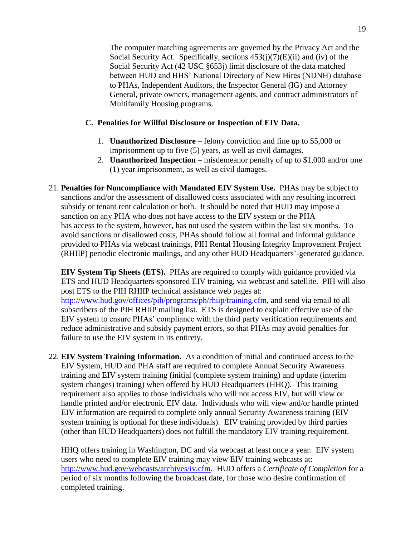The computer matching agreements are governed by the Privacy Act and the Social Security Act. Specifically, sections  $453(j)(7)(E)(ii)$  and (iv) of the Social Security Act (42 USC §653j) limit disclosure of the data matched between HUD and HHS' National Directory of New Hires (NDNH) database to PHAs, Independent Auditors, the Inspector General (IG) and Attorney General, private owners, management agents, and contract administrators of Multifamily Housing programs.

#### **C. Penalties for Willful Disclosure or Inspection of EIV Data.**

- 1. **Unauthorized Disclosure**  felony conviction and fine up to \$5,000 or imprisonment up to five (5) years, as well as civil damages.
- 2. **Unauthorized Inspection** misdemeanor penalty of up to \$1,000 and/or one (1) year imprisonment, as well as civil damages.
- 21. **Penalties for Noncompliance with Mandated EIV System Use.** PHAs may be subject to sanctions and/or the assessment of disallowed costs associated with any resulting incorrect subsidy or tenant rent calculation or both. It should be noted that HUD may impose a sanction on any PHA who does not have access to the EIV system or the PHA has access to the system, however, has not used the system within the last six months. To avoid sanctions or disallowed costs, PHAs should follow all formal and informal guidance provided to PHAs via webcast trainings, PIH Rental Housing Integrity Improvement Project (RHIIP) periodic electronic mailings, and any other HUD Headquarters'-generated guidance.

**EIV System Tip Sheets (ETS).** PHAs are required to comply with guidance provided via ETS and HUD Headquarters-sponsored EIV training, via webcast and satellite. PIH will also post ETS to the PIH RHIIP technical assistance web pages at: http://w**w**[w.hud.gov/offices/pih/programs/ph/rhiip/training.cfm,](http://www.hud.gov/offices/pih/programs/ph/rhiip/training.cfm) and send via email to all subscribers of the PIH RHIIP mailing list. ETS is designed to explain effective use of the EIV system to ensure PHAs' compliance with the third party verification requirements and reduce administrative and subsidy payment errors, so that PHAs may avoid penalties for failure to use the EIV system in its entirety.

22. **EIV System Training Information.** As a condition of initial and continued access to the EIV System, HUD and PHA staff are required to complete Annual Security Awareness training and EIV system training (initial (complete system training) and update (interim system changes) training) when offered by HUD Headquarters (HHQ). This training requirement also applies to those individuals who will not access EIV, but will view or handle printed and/or electronic EIV data. Individuals who will view and/or handle printed EIV information are required to complete only annual Security Awareness training (EIV system training is optional for these individuals). EIV training provided by third parties (other than HUD Headquarters) does not fulfill the mandatory EIV training requirement.

HHQ offers training in Washington, DC and via webcast at least once a year. EIV system users who need to complete EIV training may view EIV training webcasts at: [http://www.hud.gov/webcasts/archives/iv.cfm.](http://www.hud.gov/webcasts/archives/iv.cfm) HUD offers a *Certificate of Completion* for a period of six months following the broadcast date, for those who desire confirmation of completed training.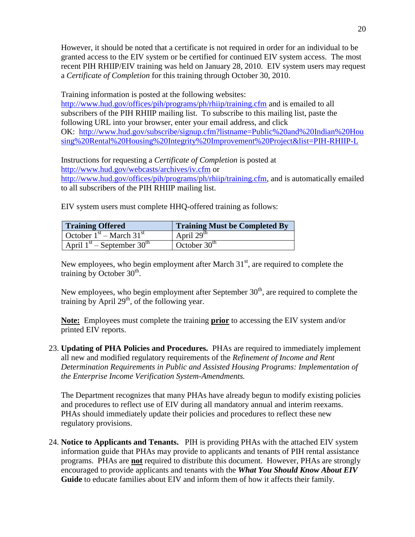However, it should be noted that a certificate is not required in order for an individual to be granted access to the EIV system or be certified for continued EIV system access. The most recent PIH RHIIP/EIV training was held on January 28, 2010. EIV system users may request a *Certificate of Completion* for this training through October 30, 2010.

Training information is posted at the following websites:

<http://www.hud.gov/offices/pih/programs/ph/rhiip/training.cfm> and is emailed to all subscribers of the PIH RHIIP mailing list. To subscribe to this mailing list, paste the following URL into your browser, enter your email address, and click OK: [http://www.hud.gov/subscribe/signup.cfm?listname=Public%20and%20Indian%20Hou](http://www.hud.gov/subscribe/signup.cfm?listname=Public%20and%20Indian%20Housing%20Rental%20Housing%20Integrity%20Improvement%20Project&list=PIH-RHIIP-L) [sing%20Rental%20Housing%20Integrity%20Improvement%20Project&list=PIH-RHIIP-L](http://www.hud.gov/subscribe/signup.cfm?listname=Public%20and%20Indian%20Housing%20Rental%20Housing%20Integrity%20Improvement%20Project&list=PIH-RHIIP-L)

Instructions for requesting a *Certificate of Completion* is posted at <http://www.hud.gov/webcasts/archives/iv.cfm> or [http://www.hud.gov/offices/pih/programs/ph/rhiip/training.cfm,](http://www.hud.gov/offices/pih/programs/ph/rhiip/training.cfm) and is automatically emailed to all subscribers of the PIH RHIIP mailing list.

EIV system users must complete HHQ-offered training as follows:

| <b>Training Offered</b>                  | <b>Training Must be Completed By</b> |
|------------------------------------------|--------------------------------------|
| October $1st$ – March 31 <sup>st</sup>   | April $29th$                         |
| April $1st$ – September 30 <sup>th</sup> | October $30th$                       |

New employees, who begin employment after March  $31<sup>st</sup>$ , are required to complete the training by October  $30<sup>th</sup>$ .

New employees, who begin employment after September  $30<sup>th</sup>$ , are required to complete the training by April  $29<sup>th</sup>$ , of the following year.

**Note:** Employees must complete the training **prior** to accessing the EIV system and/or printed EIV reports.

23. **Updating of PHA Policies and Procedures.** PHAs are required to immediately implement all new and modified regulatory requirements of the *Refinement of Income and Rent Determination Requirements in Public and Assisted Housing Programs: Implementation of the Enterprise Income Verification System-Amendments.*

The Department recognizes that many PHAs have already begun to modify existing policies and procedures to reflect use of EIV during all mandatory annual and interim reexams. PHAs should immediately update their policies and procedures to reflect these new regulatory provisions.

24. **Notice to Applicants and Tenants.** PIH is providing PHAs with the attached EIV system information guide that PHAs may provide to applicants and tenants of PIH rental assistance programs. PHAs are **not** required to distribute this document. However, PHAs are strongly encouraged to provide applicants and tenants with the *What You Should Know About EIV* **Guide** to educate families about EIV and inform them of how it affects their family.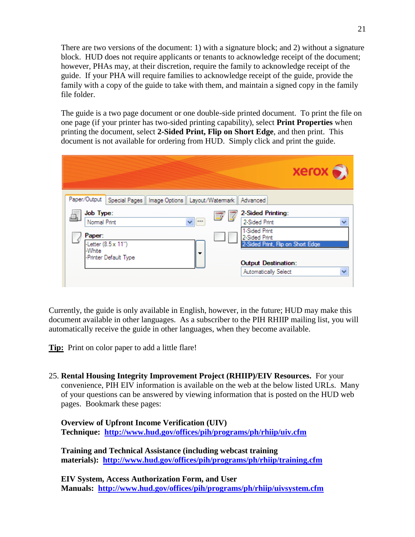There are two versions of the document: 1) with a signature block; and 2) without a signature block. HUD does not require applicants or tenants to acknowledge receipt of the document; however, PHAs may, at their discretion, require the family to acknowledge receipt of the guide. If your PHA will require families to acknowledge receipt of the guide, provide the family with a copy of the guide to take with them, and maintain a signed copy in the family file folder.

The guide is a two page document or one double-side printed document. To print the file on one page (if your printer has two-sided printing capability), select **Print Properties** when printing the document, select **2-Sided Print, Flip on Short Edge**, and then print. This document is not available for ordering from HUD. Simply click and print the guide.

|                                                                                       | xerox                                                                                                     |
|---------------------------------------------------------------------------------------|-----------------------------------------------------------------------------------------------------------|
| Paper/Output<br>Special Pages   Image Options   Layout/Watermark                      | Advanced                                                                                                  |
| Job Type:<br>Normal Print<br>444<br>v<br>Paper:<br>-Letter (8.5 x 11")<br>-White<br>▼ | 2-Sided Printing:<br>2-Sided Print<br>1-Sided Print<br>2-Sided Print<br>2-Sided Print, Flip on Short Edge |
| -Printer Default Type                                                                 | <b>Output Destination:</b><br>Automatically Select<br>Ÿ                                                   |

Currently, the guide is only available in English, however, in the future; HUD may make this document available in other languages. As a subscriber to the PIH RHIIP mailing list, you will automatically receive the guide in other languages, when they become available.

**Tip:** Print on color paper to add a little flare!

25. **Rental Housing Integrity Improvement Project (RHIIP)/EIV Resources.** For your convenience, PIH EIV information is available on the web at the below listed URLs. Many of your questions can be answered by viewing information that is posted on the HUD web pages. Bookmark these pages:

**Overview of Upfront Income Verification (UIV) Technique: <http://www.hud.gov/offices/pih/programs/ph/rhiip/uiv.cfm>**

**Training and Technical Assistance (including webcast training materials): <http://www.hud.gov/offices/pih/programs/ph/rhiip/training.cfm>**

**EIV System, Access Authorization Form, and User Manuals: <http://www.hud.gov/offices/pih/programs/ph/rhiip/uivsystem.cfm>**